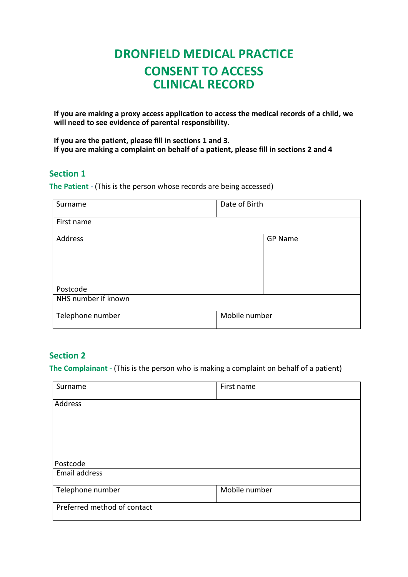# **DRONFIELD MEDICAL PRACTICE CONSENT TO ACCESS CLINICAL RECORD**

**If you are making a proxy access application to access the medical records of a child, we will need to see evidence of parental responsibility.**

**If you are the patient, please fill in sections 1 and 3. If you are making a complaint on behalf of a patient, please fill in sections 2 and 4**

#### **Section 1**

**The Patient -** (This is the person whose records are being accessed)

| Surname             | Date of Birth  |
|---------------------|----------------|
| First name          |                |
| Address             | <b>GP Name</b> |
| Postcode            |                |
| NHS number if known |                |
| Telephone number    | Mobile number  |

#### **Section 2**

**The Complainant -** (This is the person who is making a complaint on behalf of a patient)

| Surname                     | First name    |
|-----------------------------|---------------|
| Address                     |               |
|                             |               |
|                             |               |
|                             |               |
| Postcode                    |               |
| Email address               |               |
| Telephone number            | Mobile number |
| Preferred method of contact |               |